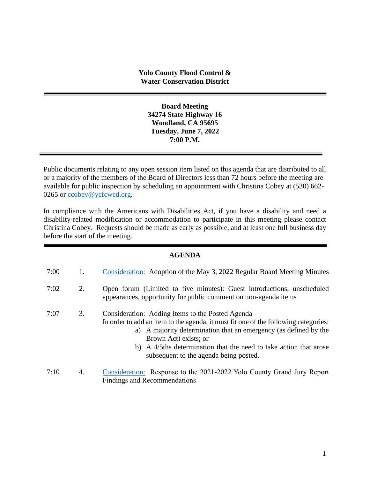**Board Meeting 34274 State Highway 16 Woodland, CA 95695 Tuesday, June 7, 2022 7:00 P.M.**

Public documents relating to any open session item listed on this agenda that are distributed to all or a majority of the members of the Board of Directors less than 72 hours before the meeting are available for public inspection by scheduling an appointment with Christina Cobey at (530) 662- 0265 or [ccobey@ycfcwcd.org](mailto:ccobey@ycfcwcd.org)*.* 

In compliance with the Americans with Disabilities Act, if you have a disability and need a disability-related modification or accommodation to participate in this meeting please contact Christina Cobey. Requests should be made as early as possible, and at least one full business day before the start of the meeting.

### **AGENDA**

| 7:00 | 1. | Consideration: Adoption of the May 3, 2022 Regular Board Meeting Minutes                                                                                                                                                                                                                                                                            |
|------|----|-----------------------------------------------------------------------------------------------------------------------------------------------------------------------------------------------------------------------------------------------------------------------------------------------------------------------------------------------------|
| 7:02 | 2. | Open forum (Limited to five minutes): Guest introductions, unscheduled<br>appearances, opportunity for public comment on non-agenda items                                                                                                                                                                                                           |
| 7:07 | 3. | Consideration: Adding Items to the Posted Agenda<br>In order to add an item to the agenda, it must fit one of the following categories:<br>a) A majority determination that an emergency (as defined by the<br>Brown Act) exists; or<br>b) A 4/5ths determination that the need to take action that arose<br>subsequent to the agenda being posted. |
| 7:10 | 4. | Consideration: Response to the 2021-2022 Yolo County Grand Jury Report<br><b>Findings and Recommendations</b>                                                                                                                                                                                                                                       |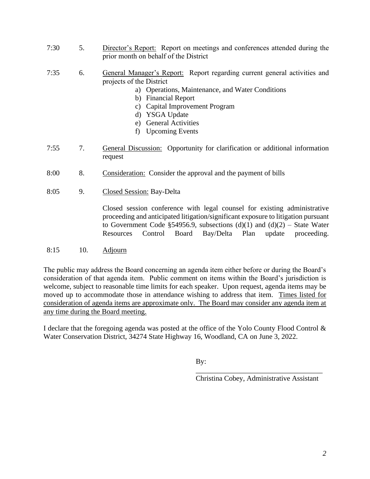- 7:30 5. Director's Report: Report on meetings and conferences attended during the prior month on behalf of the District
- 7:35 6. General Manager's Report: Report regarding current general activities and projects of the District
	- a) Operations, Maintenance, and Water Conditions
	- b) Financial Report
	- c) Capital Improvement Program
	- d) YSGA Update
	- e) General Activities
	- f) Upcoming Events
- 7:55 7. General Discussion: Opportunity for clarification or additional information request
- 8:00 8. Consideration: Consider the approval and the payment of bills
- 8:05 9. Closed Session: Bay-Delta

Closed session conference with legal counsel for existing administrative proceeding and anticipated litigation/significant exposure to litigation pursuant to Government Code §54956.9, subsections  $(d)(1)$  and  $(d)(2)$  – State Water Resources Control Board Bay/Delta Plan update proceeding.

8:15 10. Adjourn

The public may address the Board concerning an agenda item either before or during the Board's consideration of that agenda item. Public comment on items within the Board's jurisdiction is welcome, subject to reasonable time limits for each speaker. Upon request, agenda items may be moved up to accommodate those in attendance wishing to address that item. Times listed for consideration of agenda items are approximate only. The Board may consider any agenda item at any time during the Board meeting.

I declare that the foregoing agenda was posted at the office of the Yolo County Flood Control  $\&$ Water Conservation District, 34274 State Highway 16, Woodland, CA on June 3, 2022.

By:

\_\_\_\_\_\_\_\_\_\_\_\_\_\_\_\_\_\_\_\_\_\_\_\_\_\_\_\_\_\_\_\_\_\_\_ Christina Cobey, Administrative Assistant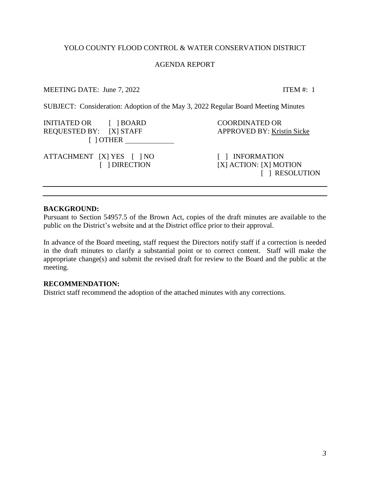### YOLO COUNTY FLOOD CONTROL & WATER CONSERVATION DISTRICT

#### AGENDA REPORT

### MEETING DATE: June 7, 2022 ITEM #: 1

<span id="page-2-0"></span>SUBJECT: Consideration: Adoption of the May 3, 2022 Regular Board Meeting Minutes

INITIATED OR [ ] BOARD COORDINATED OR REQUESTED BY: [X] STAFF APPROVED BY: Kristin Sicke [ ] OTHER ATTACHMENT [X] YES [ ] NO [ ] INFORMATION [ ] DIRECTION [X] ACTION: [X] MOTION [ ] RESOLUTION

### **BACKGROUND:**

Pursuant to Section 54957.5 of the Brown Act, copies of the draft minutes are available to the public on the District's website and at the District office prior to their approval.

In advance of the Board meeting, staff request the Directors notify staff if a correction is needed in the draft minutes to clarify a substantial point or to correct content. Staff will make the appropriate change(s) and submit the revised draft for review to the Board and the public at the meeting.

### **RECOMMENDATION:**

District staff recommend the adoption of the attached minutes with any corrections.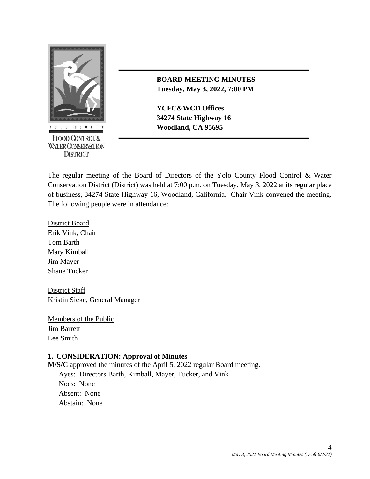

**FLOOD CONTROL & WATER CONSERVATION DISTRICT** 

## **BOARD MEETING MINUTES Tuesday, May 3, 2022, 7:00 PM**

**YCFC&WCD Offices 34274 State Highway 16** *COUNTY* **Woodland, CA 95695** 

The regular meeting of the Board of Directors of the Yolo County Flood Control & Water Conservation District (District) was held at 7:00 p.m. on Tuesday, May 3, 2022 at its regular place of business, 34274 State Highway 16, Woodland, California. Chair Vink convened the meeting. The following people were in attendance:

District Board Erik Vink, Chair Tom Barth Mary Kimball Jim Mayer Shane Tucker

District Staff Kristin Sicke, General Manager

Members of the Public Jim Barrett Lee Smith

## **1. CONSIDERATION: Approval of Minutes**

**M/S/C** approved the minutes of the April 5, 2022 regular Board meeting. Ayes: Directors Barth, Kimball, Mayer, Tucker, and Vink Noes: None Absent: None Abstain: None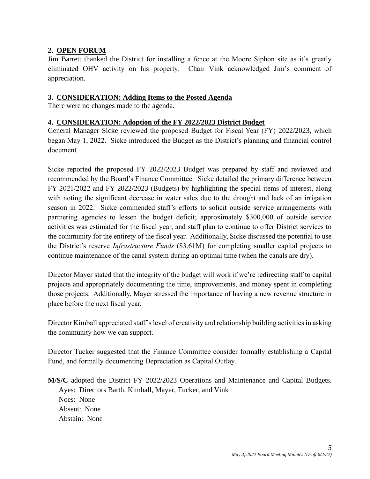# **2. OPEN FORUM**

Jim Barrett thanked the District for installing a fence at the Moore Siphon site as it's greatly eliminated OHV activity on his property. Chair Vink acknowledged Jim's comment of appreciation.

### **3. CONSIDERATION: Adding Items to the Posted Agenda**

There were no changes made to the agenda.

### **4. CONSIDERATION: Adoption of the FY 2022/2023 District Budget**

General Manager Sicke reviewed the proposed Budget for Fiscal Year (FY) 2022/2023, which began May 1, 2022. Sicke introduced the Budget as the District's planning and financial control document.

Sicke reported the proposed FY 2022/2023 Budget was prepared by staff and reviewed and recommended by the Board's Finance Committee. Sicke detailed the primary difference between FY 2021/2022 and FY 2022/2023 (Budgets) by highlighting the special items of interest, along with noting the significant decrease in water sales due to the drought and lack of an irrigation season in 2022. Sicke commended staff's efforts to solicit outside service arrangements with partnering agencies to lessen the budget deficit; approximately \$300,000 of outside service activities was estimated for the fiscal year, and staff plan to continue to offer District services to the community for the entirety of the fiscal year. Additionally, Sicke discussed the potential to use the District's reserve *Infrastructure Funds* (\$3.61M) for completing smaller capital projects to continue maintenance of the canal system during an optimal time (when the canals are dry).

Director Mayer stated that the integrity of the budget will work if we're redirecting staff to capital projects and appropriately documenting the time, improvements, and money spent in completing those projects. Additionally, Mayer stressed the importance of having a new revenue structure in place before the next fiscal year.

Director Kimball appreciated staff's level of creativity and relationship building activities in asking the community how we can support.

Director Tucker suggested that the Finance Committee consider formally establishing a Capital Fund, and formally documenting Depreciation as Capital Outlay.

**M/S/C** adopted the District FY 2022/2023 Operations and Maintenance and Capital Budgets. Ayes: Directors Barth, Kimball, Mayer, Tucker, and Vink Noes: None Absent: None Abstain: None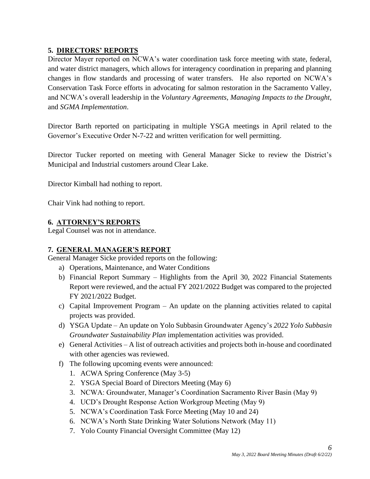# **5. DIRECTORS' REPORTS**

Director Mayer reported on NCWA's water coordination task force meeting with state, federal, and water district managers, which allows for interagency coordination in preparing and planning changes in flow standards and processing of water transfers. He also reported on NCWA's Conservation Task Force efforts in advocating for salmon restoration in the Sacramento Valley, and NCWA's overall leadership in the *Voluntary Agreements*, *Managing Impacts to the Drought*, and *SGMA Implementation*.

Director Barth reported on participating in multiple YSGA meetings in April related to the Governor's Executive Order N-7-22 and written verification for well permitting.

Director Tucker reported on meeting with General Manager Sicke to review the District's Municipal and Industrial customers around Clear Lake.

Director Kimball had nothing to report.

Chair Vink had nothing to report.

## **6. ATTORNEY'S REPORTS**

Legal Counsel was not in attendance.

## **7. GENERAL MANAGER'S REPORT**

General Manager Sicke provided reports on the following:

- a) Operations, Maintenance, and Water Conditions
- b) Financial Report Summary Highlights from the April 30, 2022 Financial Statements Report were reviewed, and the actual FY 2021/2022 Budget was compared to the projected FY 2021/2022 Budget.
- c) Capital Improvement Program An update on the planning activities related to capital projects was provided.
- d) YSGA Update An update on Yolo Subbasin Groundwater Agency's *2022 Yolo Subbasin Groundwater Sustainability Plan* implementation activities was provided.
- e) General Activities A list of outreach activities and projects both in-house and coordinated with other agencies was reviewed.
- f) The following upcoming events were announced:
	- 1. ACWA Spring Conference (May 3-5)
	- 2. YSGA Special Board of Directors Meeting (May 6)
	- 3. NCWA: Groundwater, Manager's Coordination Sacramento River Basin (May 9)
	- 4. UCD's Drought Response Action Workgroup Meeting (May 9)
	- 5. NCWA's Coordination Task Force Meeting (May 10 and 24)
	- 6. NCWA's North State Drinking Water Solutions Network (May 11)
	- 7. Yolo County Financial Oversight Committee (May 12)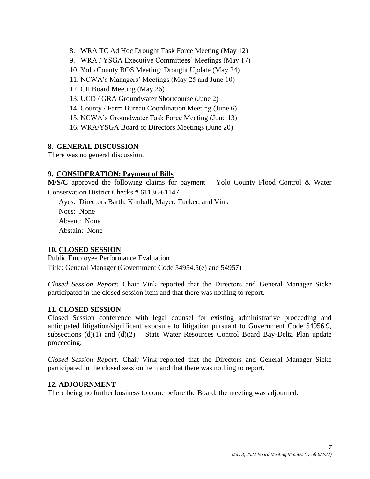- 8. WRA TC Ad Hoc Drought Task Force Meeting (May 12)
- 9. WRA / YSGA Executive Committees' Meetings (May 17)
- 10. Yolo County BOS Meeting: Drought Update (May 24)
- 11. NCWA's Managers' Meetings (May 25 and June 10)
- 12. CII Board Meeting (May 26)
- 13. UCD / GRA Groundwater Shortcourse (June 2)
- 14. County / Farm Bureau Coordination Meeting (June 6)
- 15. NCWA's Groundwater Task Force Meeting (June 13)
- 16. WRA/YSGA Board of Directors Meetings (June 20)

# **8. GENERAL DISCUSSION**

There was no general discussion.

# **9. CONSIDERATION: Payment of Bills**

**M/S/C** approved the following claims for payment – Yolo County Flood Control & Water Conservation District Checks # 61136-61147.

Ayes: Directors Barth, Kimball, Mayer, Tucker, and Vink Noes: None Absent: None Abstain: None

## **10. CLOSED SESSION**

Public Employee Performance Evaluation Title: General Manager (Government Code 54954.5(e) and 54957)

*Closed Session Report:* Chair Vink reported that the Directors and General Manager Sicke participated in the closed session item and that there was nothing to report.

## **11. CLOSED SESSION**

Closed Session conference with legal counsel for existing administrative proceeding and anticipated litigation/significant exposure to litigation pursuant to Government Code 54956.9, subsections  $(d)(1)$  and  $(d)(2)$  – State Water Resources Control Board Bay-Delta Plan update proceeding.

*Closed Session Report:* Chair Vink reported that the Directors and General Manager Sicke participated in the closed session item and that there was nothing to report.

## **12. ADJOURNMENT**

There being no further business to come before the Board, the meeting was adjourned.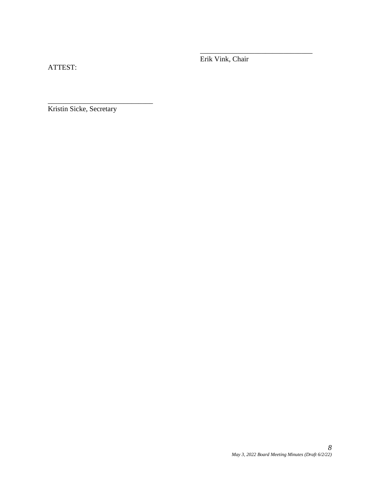ATTEST:

Erik Vink, Chair

\_\_\_\_\_\_\_\_\_\_\_\_\_\_\_\_\_\_\_\_\_\_\_\_\_\_\_\_\_\_\_

Kristin Sicke, Secretary

\_\_\_\_\_\_\_\_\_\_\_\_\_\_\_\_\_\_\_\_\_\_\_\_\_\_\_\_\_